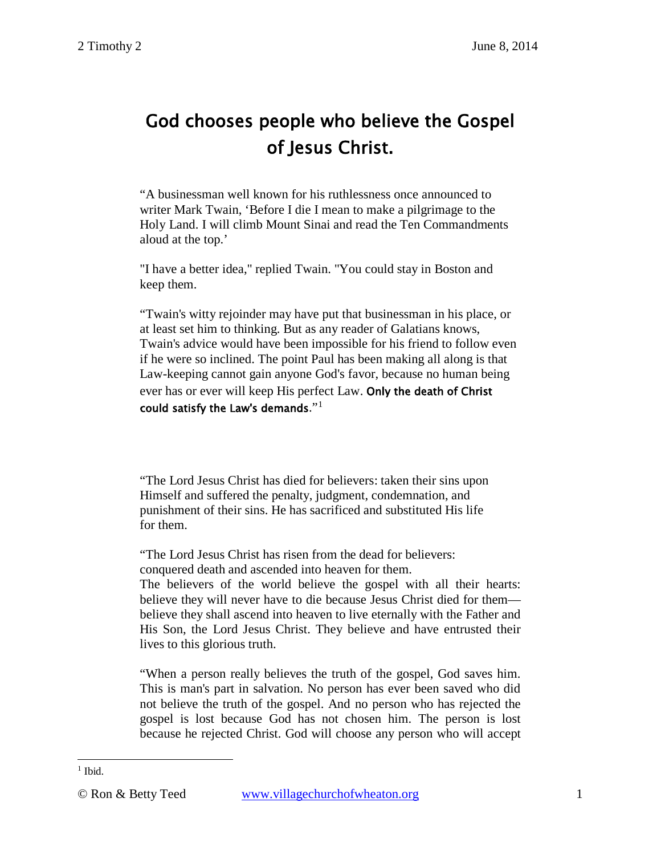# God chooses people who believe the Gospel of Jesus Christ.

"A businessman well known for his ruthlessness once announced to writer Mark Twain, 'Before I die I mean to make a pilgrimage to the Holy Land. I will climb Mount Sinai and read the Ten Commandments aloud at the top.'

"I have a better idea," replied Twain. "You could stay in Boston and keep them.

"Twain's witty rejoinder may have put that businessman in his place, or at least set him to thinking. But as any reader of Galatians knows, Twain's advice would have been impossible for his friend to follow even if he were so inclined. The point Paul has been making all along is that Law-keeping cannot gain anyone God's favor, because no human being ever has or ever will keep His perfect Law. Only the death of Christ could satisfy the Law's demands." $1$ 

"The Lord Jesus Christ has died for believers: taken their sins upon Himself and suffered the penalty, judgment, condemnation, and punishment of their sins. He has sacrificed and substituted His life for them.

"The Lord Jesus Christ has risen from the dead for believers: conquered death and ascended into heaven for them.

The believers of the world believe the gospel with all their hearts: believe they will never have to die because Jesus Christ died for them believe they shall ascend into heaven to live eternally with the Father and His Son, the Lord Jesus Christ. They believe and have entrusted their lives to this glorious truth.

"When a person really believes the truth of the gospel, God saves him. This is man's part in salvation. No person has ever been saved who did not believe the truth of the gospel. And no person who has rejected the gospel is lost because God has not chosen him. The person is lost because he rejected Christ. God will choose any person who will accept

<span id="page-0-0"></span> $<sup>1</sup>$  Ibid.</sup>  $\overline{a}$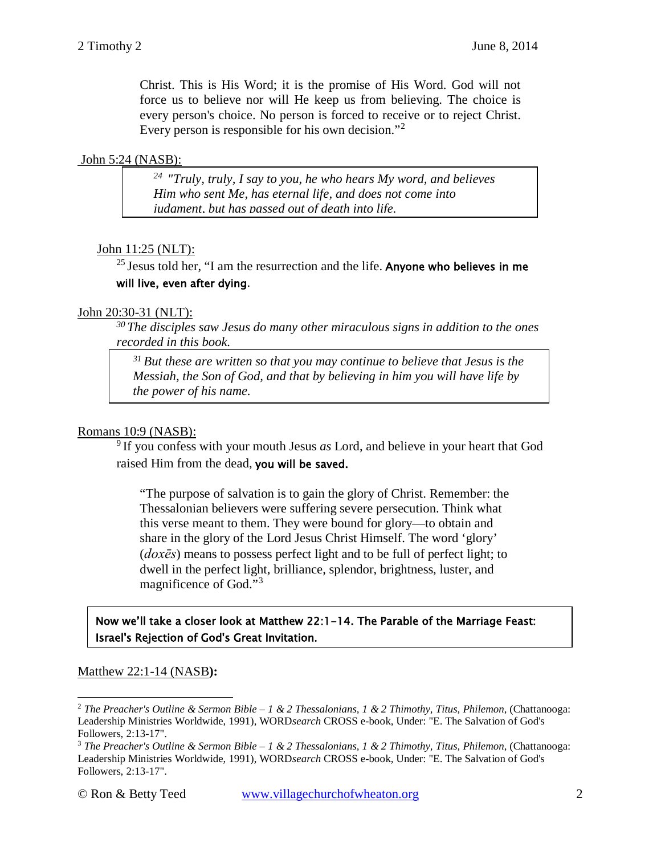Christ. This is His Word; it is the promise of His Word. God will not force us to believe nor will He keep us from believing. The choice is every person's choice. No person is forced to receive or to reject Christ. Every person is responsible for his own decision."[2](#page-1-0)

#### John 5:24 (NASB):

*24 "Truly, truly, I say to you, he who hears My word, and believes Him who sent Me, has eternal life, and does not come into judgment, but has passed out of death into life.*

## John 11:25 (NLT):

<sup>25</sup> Jesus told her, "I am the resurrection and the life. Anyone who believes in me will live, even after dying.

#### John 20:30-31 (NLT):

*30 The disciples saw Jesus do many other miraculous signs in addition to the ones recorded in this book.* 

*31 But these are written so that you may continue to believe that Jesus is the Messiah, the Son of God, and that by believing in him you will have life by the power of his name.* 

## Romans 10:9 (NASB):

9 If you confess with your mouth Jesus *as* Lord, and believe in your heart that God raised Him from the dead, you will be saved.

"The purpose of salvation is to gain the glory of Christ. Remember: the Thessalonian believers were suffering severe persecution. Think what this verse meant to them. They were bound for glory—to obtain and share in the glory of the Lord Jesus Christ Himself. The word 'glory' (*doxēs*) means to possess perfect light and to be full of perfect light; to dwell in the perfect light, brilliance, splendor, brightness, luster, and magnificence of God."[3](#page-1-1)

Now we'll take a closer look at Matthew 22:1-14. The Parable of the Marriage Feast: Israel's Rejection of God's Great Invitation.

## Matthew 22:1-14 (NASB**):**

 $\overline{a}$ 

<span id="page-1-0"></span><sup>2</sup> *The Preacher's Outline & Sermon Bible – 1 & 2 Thessalonians, 1 & 2 Thimothy, Titus, Philemon*, (Chattanooga: Leadership Ministries Worldwide, 1991), WORD*search* CROSS e-book, Under: "E. The Salvation of God's Followers, 2:13-17".

<span id="page-1-1"></span><sup>3</sup> *The Preacher's Outline & Sermon Bible – 1 & 2 Thessalonians, 1 & 2 Thimothy, Titus, Philemon*, (Chattanooga: Leadership Ministries Worldwide, 1991), WORD*search* CROSS e-book, Under: "E. The Salvation of God's Followers, 2:13-17".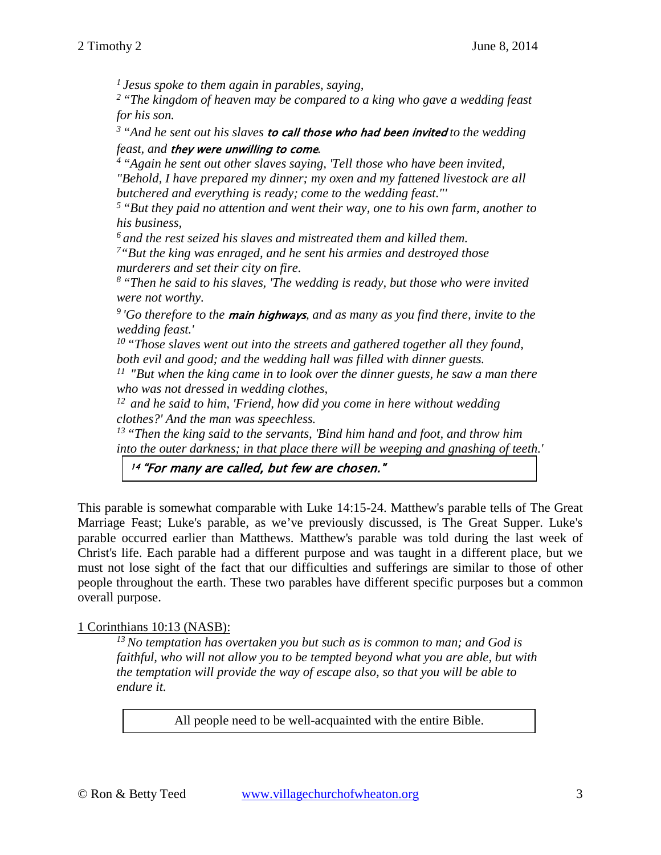*1 Jesus spoke to them again in parables, saying,* 

*2 "The kingdom of heaven may be compared to a king who gave a wedding feast for his son.* 

*3 "And he sent out his slaves* to call those who had been invited *to the wedding* 

*feast, and* they were unwilling to come*. 4 "Again he sent out other slaves saying, 'Tell those who have been invited, "Behold, I have prepared my dinner; my oxen and my fattened livestock are all butchered and everything is ready; come to the wedding feast."'* 

*5 "But they paid no attention and went their way, one to his own farm, another to his business,* 

*6 and the rest seized his slaves and mistreated them and killed them.* 

*7"But the king was enraged, and he sent his armies and destroyed those murderers and set their city on fire.* 

*8 "Then he said to his slaves, 'The wedding is ready, but those who were invited were not worthy.* 

*9 'Go therefore to the* main highways*, and as many as you find there, invite to the wedding feast.'* 

*10 "Those slaves went out into the streets and gathered together all they found, both evil and good; and the wedding hall was filled with dinner guests.* 

*11 "But when the king came in to look over the dinner guests, he saw a man there who was not dressed in wedding clothes,* 

*12 and he said to him, 'Friend, how did you come in here without wedding clothes?' And the man was speechless.* 

*13 "Then the king said to the servants, 'Bind him hand and foot, and throw him into the outer darkness; in that place there will be weeping and gnashing of teeth.'* 

# 14 "For many are called, but few are chosen."

This parable is somewhat comparable with [Luke 14:15-24.](http://www.crossbooks.com/verse.asp?ref=Lk+14%3A15-24) Matthew's parable tells of The Great Marriage Feast; Luke's parable, as we've previously discussed, is The Great Supper. Luke's parable occurred earlier than Matthews. Matthew's parable was told during the last week of Christ's life. Each parable had a different purpose and was taught in a different place, but we must not lose sight of the fact that our difficulties and sufferings are similar to those of other people throughout the earth. These two parables have different specific purposes but a common overall purpose.

## 1 Corinthians 10:13 (NASB):

*13 No temptation has overtaken you but such as is common to man; and God is faithful, who will not allow you to be tempted beyond what you are able, but with the temptation will provide the way of escape also, so that you will be able to endure it.* 

All people need to be well-acquainted with the entire Bible.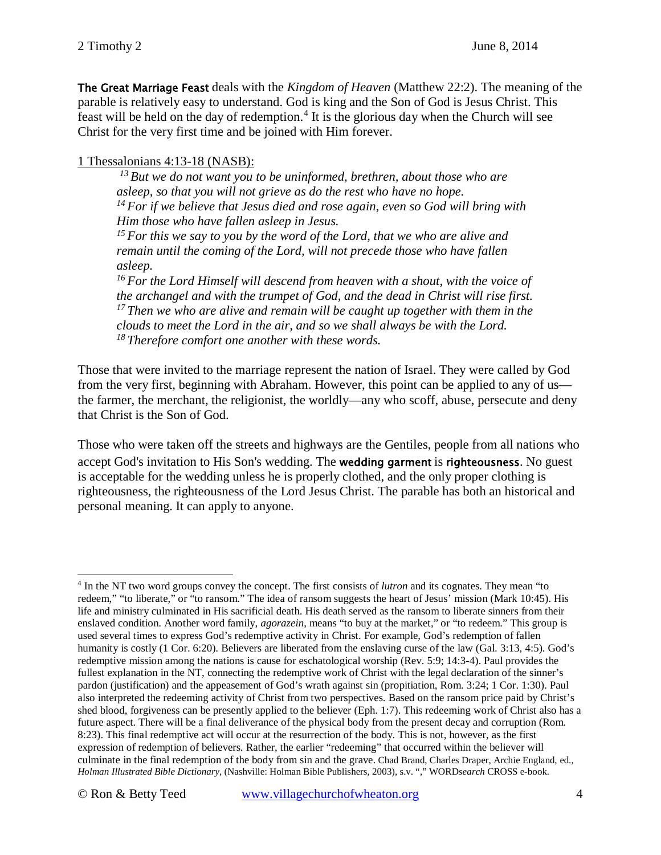The Great Marriage Feast deals with the *Kingdom of Heaven* [\(Matthew 22:2\)](http://www.crossbooks.com/verse.asp?ref=Mt+22%3A2). The meaning of the parable is relatively easy to understand. God is king and the Son of God is Jesus Christ. This feast will be held on the day of redemption.<sup>[4](#page-3-0)</sup> It is the glorious day when the Church will see Christ for the very first time and be joined with Him forever.

## 1 Thessalonians 4:13-18 (NASB):

*13 But we do not want you to be uninformed, brethren, about those who are asleep, so that you will not grieve as do the rest who have no hope. 14 For if we believe that Jesus died and rose again, even so God will bring with Him those who have fallen asleep in Jesus.* 

*15 For this we say to you by the word of the Lord, that we who are alive and remain until the coming of the Lord, will not precede those who have fallen asleep.* 

*16 For the Lord Himself will descend from heaven with a shout, with the voice of the archangel and with the trumpet of God, and the dead in Christ will rise first. 17 Then we who are alive and remain will be caught up together with them in the clouds to meet the Lord in the air, and so we shall always be with the Lord. 18 Therefore comfort one another with these words.* 

Those that were invited to the marriage represent the nation of Israel. They were called by God from the very first, beginning with Abraham. However, this point can be applied to any of us the farmer, the merchant, the religionist, the worldly—any who scoff, abuse, persecute and deny that Christ is the Son of God.

Those who were taken off the streets and highways are the Gentiles, people from all nations who accept God's invitation to His Son's wedding. The wedding garment is righteousness. No guest is acceptable for the wedding unless he is properly clothed, and the only proper clothing is righteousness, the righteousness of the Lord Jesus Christ. The parable has both an historical and personal meaning. It can apply to anyone.

<span id="page-3-0"></span><sup>4</sup> In the NT two word groups convey the concept. The first consists of *lutron* and its cognates. They mean "to redeem," "to liberate," or "to ransom." The idea of ransom suggests the heart of Jesus' mission [\(Mark 10:45\)](http://www.crossbooks.com/verse.asp?ref=Mk+10%3A45). His life and ministry culminated in His sacrificial death. His death served as the ransom to liberate sinners from their enslaved condition. Another word family, *agorazein*, means "to buy at the market," or "to redeem." This group is used several times to express God's redemptive activity in Christ. For example, God's redemption of fallen humanity is costly [\(1 Cor. 6:20\)](http://www.crossbooks.com/verse.asp?ref=1Co+6%3A20). Believers are liberated from the enslaving curse of the law [\(Gal. 3:13,](http://www.crossbooks.com/verse.asp?ref=Gal+3%3A13) [4:5\)](http://www.crossbooks.com/verse.asp?ref=Gal+4%3A5). God's redemptive mission among the nations is cause for eschatological worship [\(Rev. 5:9;](http://www.crossbooks.com/verse.asp?ref=Rev+5%3A9) [14:3-4\)](http://www.crossbooks.com/verse.asp?ref=Rev+14%3A3-4). Paul provides the fullest explanation in the NT, connecting the redemptive work of Christ with the legal declaration of the sinner's pardon (justification) and the appeasement of God's wrath against sin (propitiation, [Rom. 3:24;](http://www.crossbooks.com/verse.asp?ref=Ro+3%3A24) [1 Cor. 1:30\)](http://www.crossbooks.com/verse.asp?ref=1Co+1%3A30). Paul also interpreted the redeeming activity of Christ from two perspectives. Based on the ransom price paid by Christ's shed blood, forgiveness can be presently applied to the believer [\(Eph. 1:7\)](http://www.crossbooks.com/verse.asp?ref=Eph+1%3A7). This redeeming work of Christ also has a future aspect. There will be a final deliverance of the physical body from the present decay and corruption [\(Rom.](http://www.crossbooks.com/verse.asp?ref=Ro+8%3A23)  [8:23\)](http://www.crossbooks.com/verse.asp?ref=Ro+8%3A23). This final redemptive act will occur at the resurrection of the body. This is not, however, as the first expression of redemption of believers. Rather, the earlier "redeeming" that occurred within the believer will culminate in the final redemption of the body from sin and the grave. Chad Brand, Charles Draper, Archie England, ed., *Holman Illustrated Bible Dictionary*, (Nashville: Holman Bible Publishers, 2003), s.v. "," WORD*search* CROSS e-book.  $\overline{a}$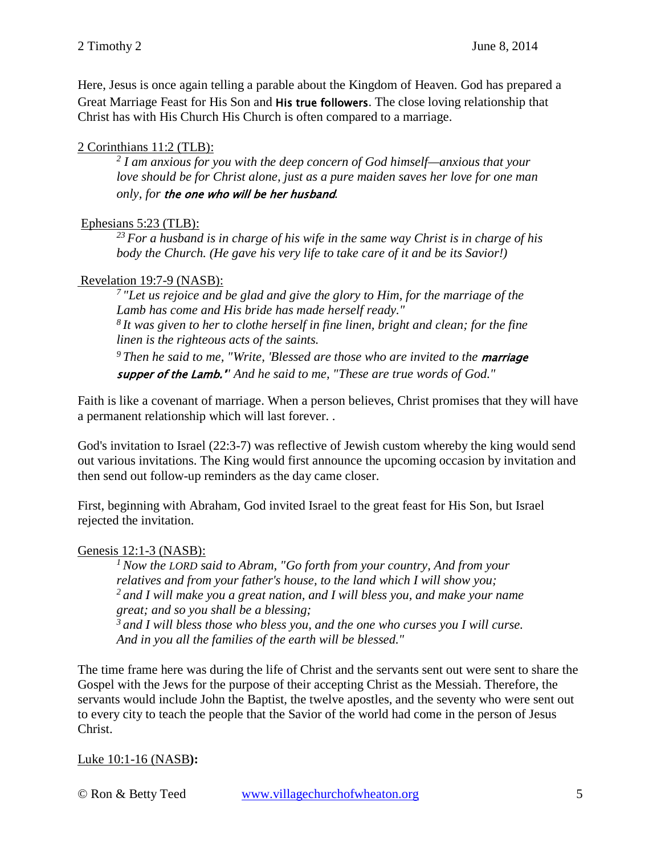Here, Jesus is once again telling a parable about the Kingdom of Heaven. God has prepared a Great Marriage Feast for His Son and His true followers. The close loving relationship that Christ has with His Church His Church is often compared to a marriage.

## 2 Corinthians 11:2 (TLB):

*<sup>2</sup> I am anxious for you with the deep concern of God himself—anxious that your love should be for Christ alone, just as a pure maiden saves her love for one man only, for* the one who will be her husband*.*

## Ephesians 5:23 (TLB):

*23 For a husband is in charge of his wife in the same way Christ is in charge of his body the Church. (He gave his very life to take care of it and be its Savior!)*

# Revelation 19:7-9 (NASB):

*7 "Let us rejoice and be glad and give the glory to Him, for the marriage of the Lamb has come and His bride has made herself ready." 8 It was given to her to clothe herself in fine linen, bright and clean; for the fine linen is the righteous acts of the saints.* 

<sup>9</sup> Then he said to me, "Write, 'Blessed are those who are invited to the **marriage** supper of the Lamb.'*" And he said to me, "These are true words of God."* 

Faith is like a covenant of marriage. When a person believes, Christ promises that they will have a permanent relationship which will last forever. .

God's invitation to Israel (22:3-7) was reflective of Jewish custom whereby the king would send out various invitations. The King would first announce the upcoming occasion by invitation and then send out follow-up reminders as the day came closer.

First, beginning with Abraham, God invited Israel to the great feast for His Son, but Israel rejected the invitation.

# Genesis 12:1-3 (NASB):

*1 Now the LORD said to Abram, "Go forth from your country, And from your relatives and from your father's house, to the land which I will show you; 2 and I will make you a great nation, and I will bless you, and make your name great; and so you shall be a blessing; 3 and I will bless those who bless you, and the one who curses you I will curse. And in you all the families of the earth will be blessed."*

The time frame here was during the life of Christ and the servants sent out were sent to share the Gospel with the Jews for the purpose of their accepting Christ as the Messiah. Therefore, the servants would include John the Baptist, the twelve apostles, and the seventy who were sent out to every city to teach the people that the Savior of the world had come in the person of Jesus Christ.

# Luke 10:1-16 (NASB**):**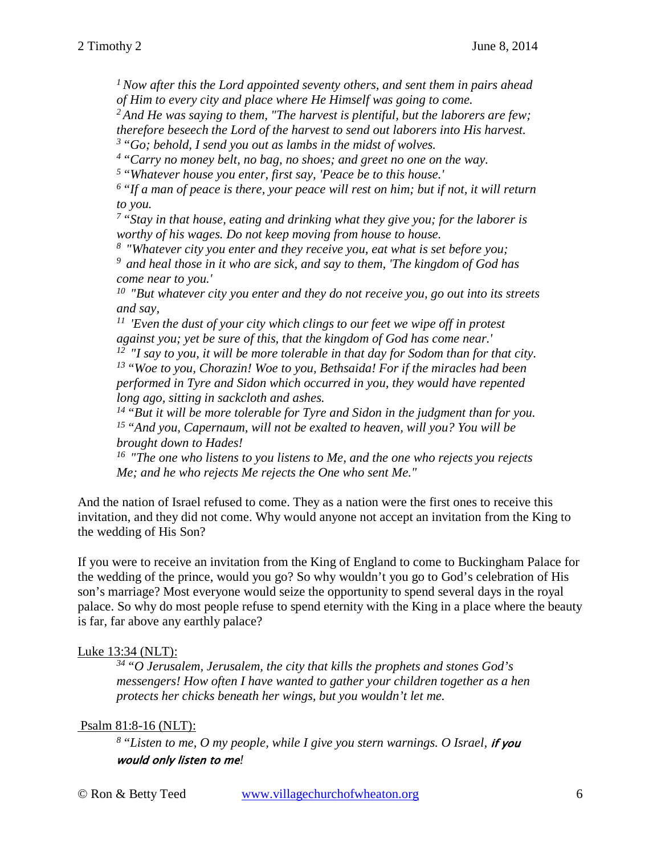*1 Now after this the Lord appointed seventy others, and sent them in pairs ahead of Him to every city and place where He Himself was going to come.* 

*2 And He was saying to them, "The harvest is plentiful, but the laborers are few;* 

*therefore beseech the Lord of the harvest to send out laborers into His harvest.* 

*3 "Go; behold, I send you out as lambs in the midst of wolves.* 

*4 "Carry no money belt, no bag, no shoes; and greet no one on the way.* 

*5 "Whatever house you enter, first say, 'Peace be to this house.'*

*6 "If a man of peace is there, your peace will rest on him; but if not, it will return to you.* 

*7 "Stay in that house, eating and drinking what they give you; for the laborer is worthy of his wages. Do not keep moving from house to house.* 

*8 "Whatever city you enter and they receive you, eat what is set before you; 9 and heal those in it who are sick, and say to them, 'The kingdom of God has come near to you.'* 

*10 "But whatever city you enter and they do not receive you, go out into its streets and say,* 

*11 'Even the dust of your city which clings to our feet we wipe off in protest against you; yet be sure of this, that the kingdom of God has come near.'* 

*12 "I say to you, it will be more tolerable in that day for Sodom than for that city. 13 "Woe to you, Chorazin! Woe to you, Bethsaida! For if the miracles had been performed in Tyre and Sidon which occurred in you, they would have repented long ago, sitting in sackcloth and ashes.* 

*14 "But it will be more tolerable for Tyre and Sidon in the judgment than for you. 15 "And you, Capernaum, will not be exalted to heaven, will you? You will be brought down to Hades!* 

*16 "The one who listens to you listens to Me, and the one who rejects you rejects Me; and he who rejects Me rejects the One who sent Me."* 

And the nation of Israel refused to come. They as a nation were the first ones to receive this invitation, and they did not come. Why would anyone not accept an invitation from the King to the wedding of His Son?

If you were to receive an invitation from the King of England to come to Buckingham Palace for the wedding of the prince, would you go? So why wouldn't you go to God's celebration of His son's marriage? Most everyone would seize the opportunity to spend several days in the royal palace. So why do most people refuse to spend eternity with the King in a place where the beauty is far, far above any earthly palace?

## Luke 13:34 (NLT):

*34 "O Jerusalem, Jerusalem, the city that kills the prophets and stones God's messengers! How often I have wanted to gather your children together as a hen protects her chicks beneath her wings, but you wouldn't let me.*

## Psalm 81:8-16 (NLT):

*8 "Listen to me, O my people, while I give you stern warnings. O Israel,* if you would only listen to me*!*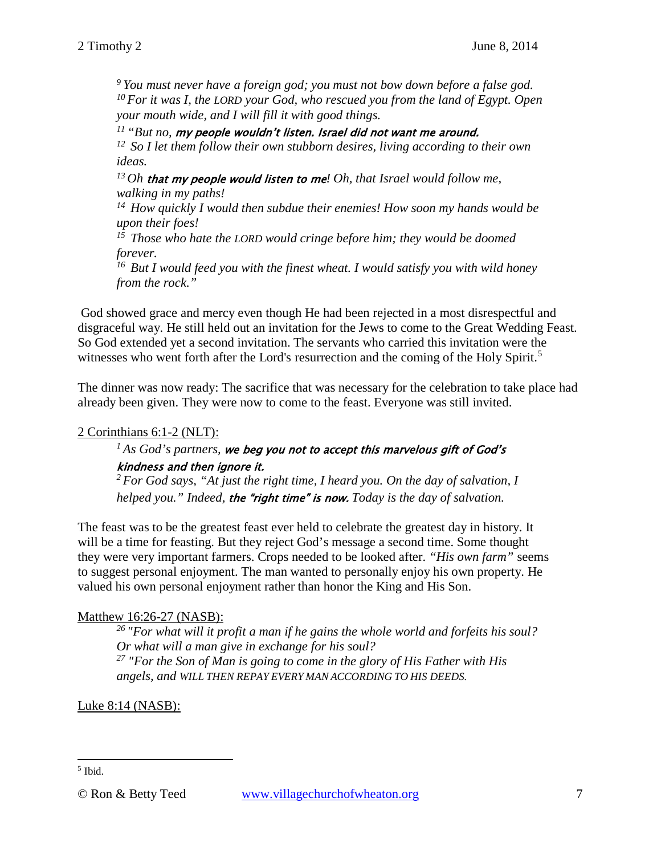*9 You must never have a foreign god; you must not bow down before a false god. 10 For it was I, the LORD your God, who rescued you from the land of Egypt. Open your mouth wide, and I will fill it with good things.* 

*11 "But no,* my people wouldn't listen. Israel did not want me around.

*12 So I let them follow their own stubborn desires, living according to their own ideas.* 

*13 Oh* that my people would listen to me*! Oh, that Israel would follow me, walking in my paths!* 

*14 How quickly I would then subdue their enemies! How soon my hands would be upon their foes!* 

*15 Those who hate the LORD would cringe before him; they would be doomed forever.* 

*16 But I would feed you with the finest wheat. I would satisfy you with wild honey from the rock."* 

God showed grace and mercy even though He had been rejected in a most disrespectful and disgraceful way. He still held out an invitation for the Jews to come to the Great Wedding Feast. So God extended yet a second invitation. The servants who carried this invitation were the witnesses who went forth after the Lord's resurrection and the coming of the Holy Spirit.<sup>[5](#page-6-0)</sup>

The dinner was now ready: The sacrifice that was necessary for the celebration to take place had already been given. They were now to come to the feast. Everyone was still invited.

## 2 Corinthians 6:1-2 (NLT):

## *1 As God's partners,* we beg you not to accept this marvelous gift of God's kindness and then ignore it.

*2 For God says, "At just the right time, I heard you. On the day of salvation, I helped you." Indeed,* the "right time" is now. *Today is the day of salvation.* 

The feast was to be the greatest feast ever held to celebrate the greatest day in history. It will be a time for feasting. But they reject God's message a second time. Some thought they were very important farmers. Crops needed to be looked after. *"His own farm"* seems to suggest personal enjoyment. The man wanted to personally enjoy his own property. He valued his own personal enjoyment rather than honor the King and His Son.

## Matthew 16:26-27 (NASB):

*26 "For what will it profit a man if he gains the whole world and forfeits his soul? Or what will a man give in exchange for his soul? <sup>27</sup> "For the Son of Man is going to come in the glory of His Father with His angels, and WILL THEN REPAY EVERY MAN ACCORDING TO HIS DEEDS.*

Luke 8:14 (NASB):

 $\overline{a}$ 

<span id="page-6-0"></span><sup>5</sup> Ibid.